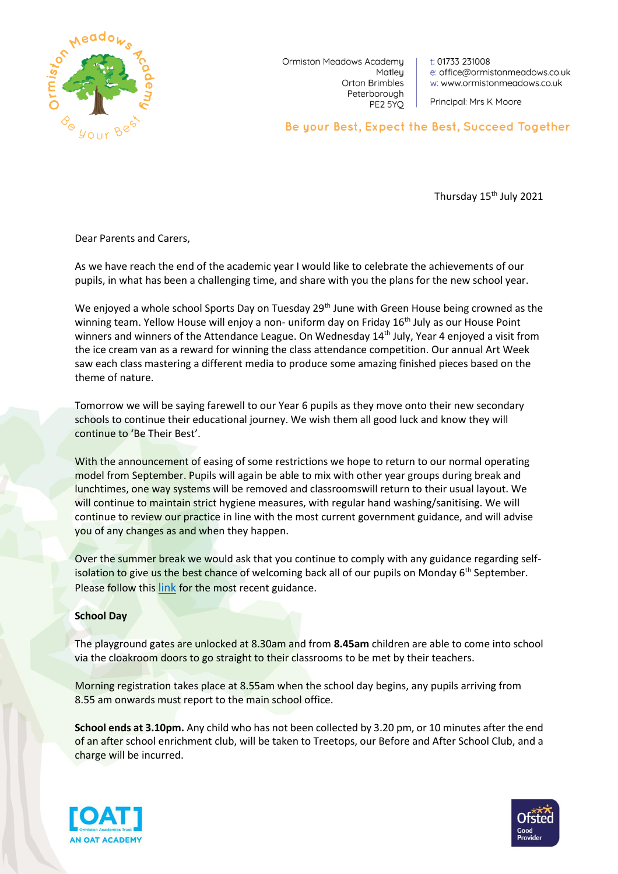

Ormiston Meadows Academy Matley Orton Brimbles Peterborough PE2 5YQ

t: 01733 231008 e: office@ormistonmeadows.co.uk w: www.ormistonmeadows.co.uk

Principal: Mrs K Moore

Be your Best, Expect the Best, Succeed Together

Thursday 15<sup>th</sup> July 2021

Dear Parents and Carers,

As we have reach the end of the academic year I would like to celebrate the achievements of our pupils, in what has been a challenging time, and share with you the plans for the new school year.

We enjoyed a whole school Sports Day on Tuesday  $29<sup>th</sup>$  June with Green House being crowned as the winning team. Yellow House will enjoy a non- uniform day on Friday 16<sup>th</sup> July as our House Point winners and winners of the Attendance League. On Wednesday 14<sup>th</sup> July, Year 4 enjoyed a visit from the ice cream van as a reward for winning the class attendance competition. Our annual Art Week saw each class mastering a different media to produce some amazing finished pieces based on the theme of nature.

Tomorrow we will be saying farewell to our Year 6 pupils as they move onto their new secondary schools to continue their educational journey. We wish them all good luck and know they will continue to 'Be Their Best'.

With the announcement of easing of some restrictions we hope to return to our normal operating model from September. Pupils will again be able to mix with other year groups during break and lunchtimes, one way systems will be removed and classroomswill return to their usual layout. We will continue to maintain strict hygiene measures, with regular hand washing/sanitising. We will continue to review our practice in line with the most current government guidance, and will advise you of any changes as and when they happen.

Over the summer break we would ask that you continue to comply with any guidance regarding selfisolation to give us the best chance of welcoming back all of our pupils on Monday  $6<sup>th</sup>$  September. Please follow this [link](https://www.nhs.uk/conditions/coronavirus-covid-19/self-isolation-and-treatment/if-youre-told-to-self-isolate-by-nhs-test-and-trace-or-the-covid-19-app/) for the most recent guidance.

#### **School Day**

The playground gates are unlocked at 8.30am and from **8.45am** children are able to come into school via the cloakroom doors to go straight to their classrooms to be met by their teachers.

Morning registration takes place at 8.55am when the school day begins, any pupils arriving from 8.55 am onwards must report to the main school office.

**School ends at 3.10pm.** Any child who has not been collected by 3.20 pm, or 10 minutes after the end of an after school enrichment club, will be taken to Treetops, our Before and After School Club, and a charge will be incurred.



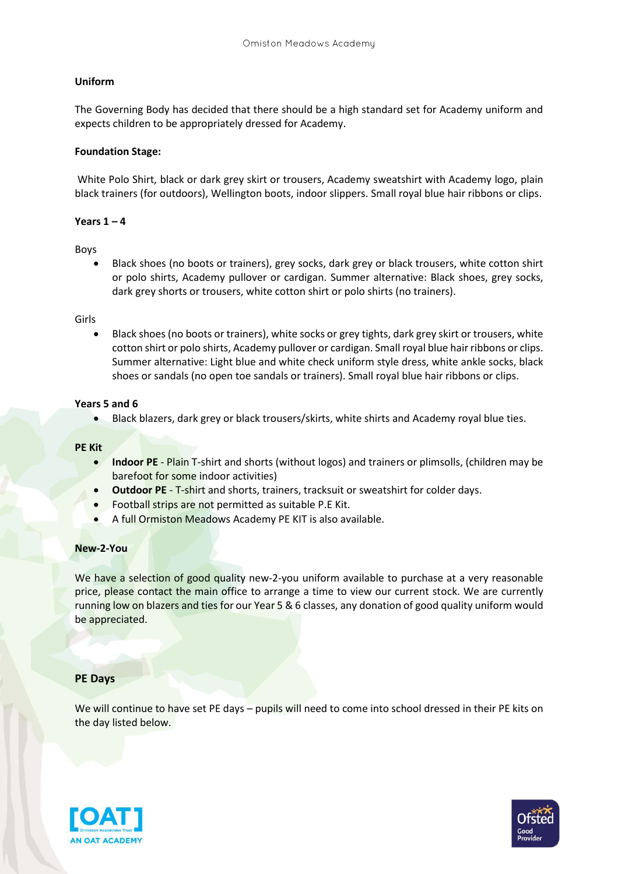# **Uniform**

The Governing Body has decided that there should be a high standard set for Academy uniform and expects children to be appropriately dressed for Academy.

## **Foundation Stage:**

White Polo Shirt, black or dark grey skirt or trousers, Academy sweatshirt with Academy logo, plain black trainers (for outdoors), Wellington boots, indoor slippers. Small royal blue hair ribbons or clips.

## **Years 1 – 4**

Boys

 Black shoes (no boots or trainers), grey socks, dark grey or black trousers, white cotton shirt or polo shirts, Academy pullover or cardigan. Summer alternative: Black shoes, grey socks, dark grey shorts or trousers, white cotton shirt or polo shirts (no trainers).

#### Girls

 Black shoes (no boots or trainers), white socks or grey tights, dark grey skirt or trousers, white cotton shirt or polo shirts, Academy pullover or cardigan. Small royal blue hair ribbons or clips. Summer alternative: Light blue and white check uniform style dress, white ankle socks, black shoes or sandals (no open toe sandals or trainers). Small royal blue hair ribbons or clips.

## **Years 5 and 6**

Black blazers, dark grey or black trousers/skirts, white shirts and Academy royal blue ties.

#### **PE Kit**

- **Indoor PE** Plain T-shirt and shorts (without logos) and trainers or plimsolls, (children may be barefoot for some indoor activities)
- **Outdoor PE** T-shirt and shorts, trainers, tracksuit or sweatshirt for colder days.
- Football strips are not permitted as suitable P.E Kit.
- A full Ormiston Meadows Academy PE KIT is also available.

#### **New-2-You**

We have a selection of good quality new-2-you uniform available to purchase at a very reasonable price, please contact the main office to arrange a time to view our current stock. We are currently running low on blazers and ties for our Year 5 & 6 classes, any donation of good quality uniform would be appreciated.

#### **PE Days**

We will continue to have set PE days - pupils will need to come into school dressed in their PE kits on the day listed below.



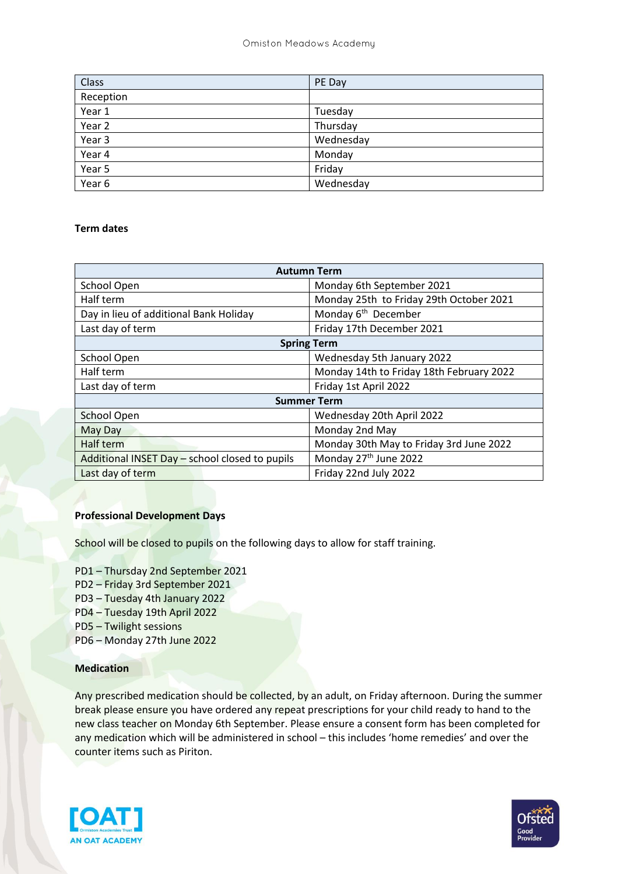| <b>Class</b> | PE Day    |
|--------------|-----------|
| Reception    |           |
| Year 1       | Tuesday   |
| Year 2       | Thursday  |
| Year 3       | Wednesday |
| Year 4       | Monday    |
| Year 5       | Friday    |
| Year 6       | Wednesday |

# **Term dates**

| <b>Autumn Term</b>                             |                                          |
|------------------------------------------------|------------------------------------------|
| School Open                                    | Monday 6th September 2021                |
| Half term                                      | Monday 25th to Friday 29th October 2021  |
| Day in lieu of additional Bank Holiday         | Monday 6 <sup>th</sup> December          |
| Last day of term                               | Friday 17th December 2021                |
| <b>Spring Term</b>                             |                                          |
| School Open                                    | Wednesday 5th January 2022               |
| Half term                                      | Monday 14th to Friday 18th February 2022 |
| Last day of term                               | Friday 1st April 2022                    |
| <b>Summer Term</b>                             |                                          |
| <b>School Open</b>                             | Wednesday 20th April 2022                |
| May Day                                        | Monday 2nd May                           |
| Half term                                      | Monday 30th May to Friday 3rd June 2022  |
| Additional INSET Day - school closed to pupils | Monday 27th June 2022                    |
| Last day of term                               | Friday 22nd July 2022                    |

# **Professional Development Days**

School will be closed to pupils on the following days to allow for staff training.

- PD1 Thursday 2nd September 2021
- PD2 Friday 3rd September 2021
- PD3 Tuesday 4th January 2022
- PD4 Tuesday 19th April 2022
- PD5 Twilight sessions
- PD6 Monday 27th June 2022

# **Medication**

Any prescribed medication should be collected, by an adult, on Friday afternoon. During the summer break please ensure you have ordered any repeat prescriptions for your child ready to hand to the new class teacher on Monday 6th September. Please ensure a consent form has been completed for any medication which will be administered in school – this includes 'home remedies' and over the counter items such as Piriton.